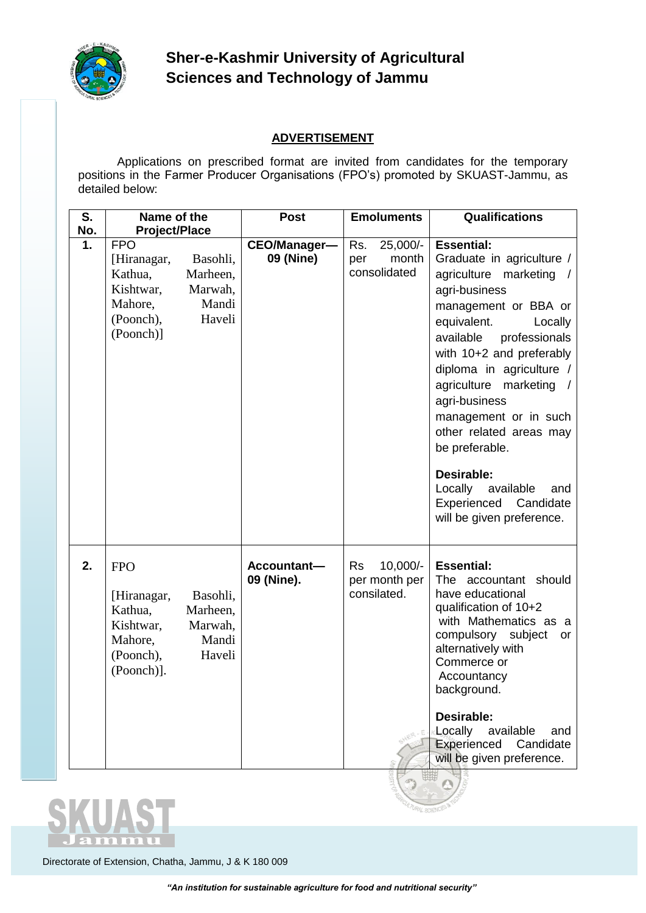

# **Sher-e-Kashmir University of Agricultural Sciences and Technology of Jammu**

## **ADVERTISEMENT**

Applications on prescribed format are invited from candidates for the temporary positions in the Farmer Producer Organisations (FPO's) promoted by SKUAST-Jammu, as detailed below:

| S.  | Name of the                                                                             |                                                    | <b>Post</b>               | <b>Emoluments</b>                                       | <b>Qualifications</b>                                                                                                                                                                                                                                                                                                                                                                                                                                 |
|-----|-----------------------------------------------------------------------------------------|----------------------------------------------------|---------------------------|---------------------------------------------------------|-------------------------------------------------------------------------------------------------------------------------------------------------------------------------------------------------------------------------------------------------------------------------------------------------------------------------------------------------------------------------------------------------------------------------------------------------------|
| No. | <b>Project/Place</b>                                                                    |                                                    |                           |                                                         |                                                                                                                                                                                                                                                                                                                                                                                                                                                       |
| 1.  | <b>FPO</b><br>[Hiranagar,<br>Kathua,<br>Kishtwar,<br>Mahore,<br>(Poonch),<br>(Poonch)]  | Basohli,<br>Marheen,<br>Marwah,<br>Mandi<br>Haveli | CEO/Manager-<br>09 (Nine) | 25,000/-<br>Rs.<br>month<br>per<br>consolidated         | <b>Essential:</b><br>Graduate in agriculture /<br>agriculture marketing /<br>agri-business<br>management or BBA or<br>equivalent.<br>Locally<br>available<br>professionals<br>with 10+2 and preferably<br>diploma in agriculture /<br>agriculture marketing<br>agri-business<br>management or in such<br>other related areas may<br>be preferable.<br>Desirable:<br>Locally<br>available<br>and<br>Experienced Candidate<br>will be given preference. |
| 2.  | <b>FPO</b><br>[Hiranagar,<br>Kathua,<br>Kishtwar,<br>Mahore,<br>(Poonch),<br>(Poonch)]. | Basohli,<br>Marheen,<br>Marwah,<br>Mandi<br>Haveli | Accountant-<br>09 (Nine). | $10,000/-$<br><b>Rs</b><br>per month per<br>consilated. | <b>Essential:</b><br>The accountant should<br>have educational<br>qualification of 10+2<br>with Mathematics as a<br>compulsory subject<br>or<br>alternatively with<br>Commerce or<br>Accountancy<br>background.<br>Desirable:<br>Locally available<br>and<br>Experienced Candidate<br>will be given preference.                                                                                                                                       |
|     |                                                                                         |                                                    |                           |                                                         | $\Omega$                                                                                                                                                                                                                                                                                                                                                                                                                                              |



Directorate of Extension, Chatha, Jammu, J & K 180 009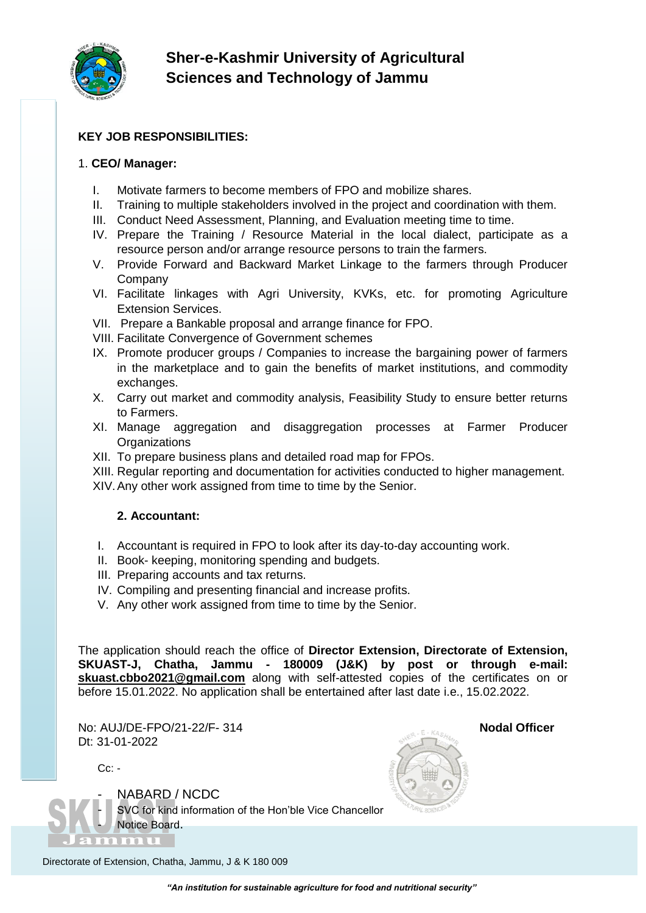

## **Sher-e-Kashmir University of Agricultural Sciences and Technology of Jammu**

### **KEY JOB RESPONSIBILITIES:**

#### 1. **CEO/ Manager:**

- I. Motivate farmers to become members of FPO and mobilize shares.
- II. Training to multiple stakeholders involved in the project and coordination with them.
- III. Conduct Need Assessment, Planning, and Evaluation meeting time to time.
- IV. Prepare the Training / Resource Material in the local dialect, participate as a resource person and/or arrange resource persons to train the farmers.
- V. Provide Forward and Backward Market Linkage to the farmers through Producer Company
- VI. Facilitate linkages with Agri University, KVKs, etc. for promoting Agriculture Extension Services.
- VII. Prepare a Bankable proposal and arrange finance for FPO.
- VIII. Facilitate Convergence of Government schemes
- IX. Promote producer groups / Companies to increase the bargaining power of farmers in the marketplace and to gain the benefits of market institutions, and commodity exchanges.
- X. Carry out market and commodity analysis, Feasibility Study to ensure better returns to Farmers.
- XI. Manage aggregation and disaggregation processes at Farmer Producer **Organizations**
- XII. To prepare business plans and detailed road map for FPOs.
- XIII. Regular reporting and documentation for activities conducted to higher management.
- XIV.Any other work assigned from time to time by the Senior.

#### **2. Accountant:**

- I. Accountant is required in FPO to look after its day-to-day accounting work.
- II. Book- keeping, monitoring spending and budgets.
- III. Preparing accounts and tax returns.
- IV. Compiling and presenting financial and increase profits.
- V. Any other work assigned from time to time by the Senior.

The application should reach the office of **Director Extension, Directorate of Extension, SKUAST-J, Chatha, Jammu - 180009 (J&K) by post or through e-mail: [skuast.cbbo2021@gmail.com](mailto:skuast.cbbo2021@gmail.com)** along with self-attested copies of the certificates on or before 15.01.2022. No application shall be entertained after last date i.e., 15.02.2022.

No: AUJ/DE-FPO/21-22/F- 314 **Nodal Officer** Dt: 31-01-2022

 $Cc$ : -



NABARD / NCDC SVC for kind information of the Hon'ble Vice Chancellor Notice Board.



Directorate of Extension, Chatha, Jammu, J & K 180 009